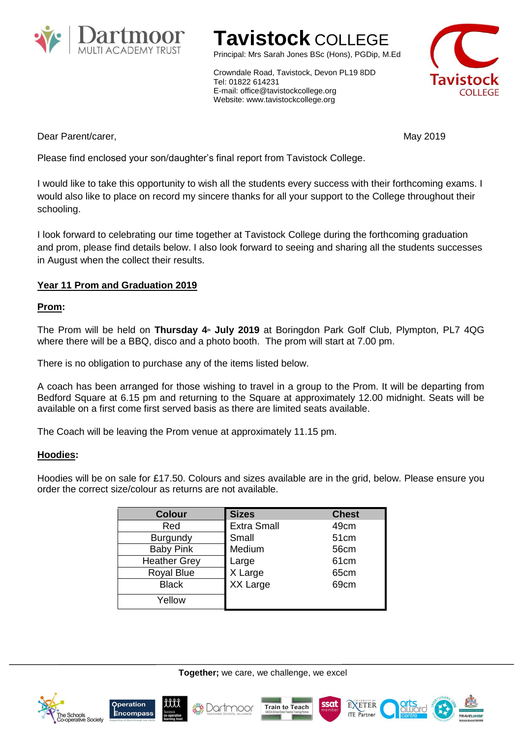

# **Tavistock** COLLEGE

Principal: Mrs Sarah Jones BSc (Hons), PGDip, M.Ed

Crowndale Road, Tavistock, Devon PL19 8DD Tel: 01822 614231 E-mail: office@tavistockcollege.org Website: www.tavistockcollege.org



Dear Parent/carer, May 2019

Please find enclosed your son/daughter's final report from Tavistock College.

I would like to take this opportunity to wish all the students every success with their forthcoming exams. I would also like to place on record my sincere thanks for all your support to the College throughout their schooling.

I look forward to celebrating our time together at Tavistock College during the forthcoming graduation and prom, please find details below. I also look forward to seeing and sharing all the students successes in August when the collect their results.

## **Year 11 Prom and Graduation 2019**

### **Prom:**

The Prom will be held on **Thursday 4th July 2019** at Boringdon Park Golf Club, Plympton, PL7 4QG where there will be a BBQ, disco and a photo booth. The prom will start at 7.00 pm.

There is no obligation to purchase any of the items listed below.

A coach has been arranged for those wishing to travel in a group to the Prom. It will be departing from Bedford Square at 6.15 pm and returning to the Square at approximately 12.00 midnight. Seats will be available on a first come first served basis as there are limited seats available.

The Coach will be leaving the Prom venue at approximately 11.15 pm.

### **Hoodies:**

Hoodies will be on sale for £17.50. Colours and sizes available are in the grid, below. Please ensure you order the correct size/colour as returns are not available.

| <b>Colour</b>       | <b>Sizes</b>       | <b>Chest</b>     |
|---------------------|--------------------|------------------|
| Red                 | <b>Extra Small</b> | 49cm             |
| Burgundy            | Small              | 51cm             |
| <b>Baby Pink</b>    | Medium             | 56cm             |
| <b>Heather Grey</b> | Large              | 61 <sub>cm</sub> |
| <b>Royal Blue</b>   | X Large            | 65cm             |
| <b>Black</b>        | XX Large           | 69cm             |
| Yellow              |                    |                  |











ssat